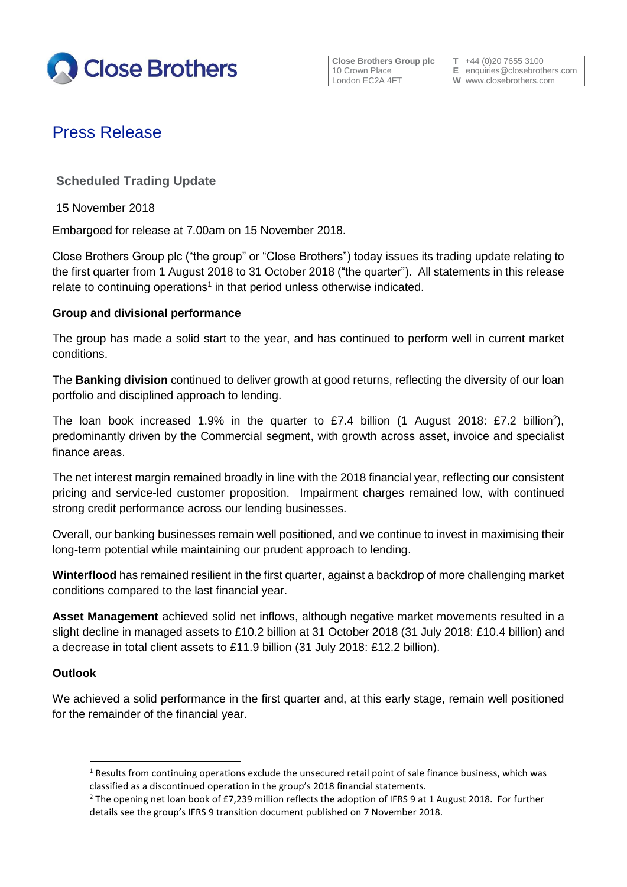

**Close Brothers Group plc**  $\begin{bmatrix} T & +44 & (0)20 & 7655 & 3100 \\ 10 & Crown \text{ Place} & E & \text{enaurities} \textcircled{}closebrott \end{bmatrix}$ 

10 Crown Place **E** enquiries@closebrothers.com<br>
London EC2A 4FT **W** www.closebrothers.com **W** www.closebrothers.com

# Press Release

## **Scheduled Trading Update**

15 November 2018

Embargoed for release at 7.00am on 15 November 2018.

Close Brothers Group plc ("the group" or "Close Brothers") today issues its trading update relating to the first quarter from 1 August 2018 to 31 October 2018 ("the quarter"). All statements in this release relate to continuing operations<sup>1</sup> in that period unless otherwise indicated.

### **Group and divisional performance**

The group has made a solid start to the year, and has continued to perform well in current market conditions.

The **Banking division** continued to deliver growth at good returns, reflecting the diversity of our loan portfolio and disciplined approach to lending.

The loan book increased 1.9% in the quarter to  $£7.4$  billion (1 August 2018: £7.2 billion<sup>2</sup>), predominantly driven by the Commercial segment, with growth across asset, invoice and specialist finance areas.

The net interest margin remained broadly in line with the 2018 financial year, reflecting our consistent pricing and service-led customer proposition. Impairment charges remained low, with continued strong credit performance across our lending businesses.

Overall, our banking businesses remain well positioned, and we continue to invest in maximising their long-term potential while maintaining our prudent approach to lending.

**Winterflood** has remained resilient in the first quarter, against a backdrop of more challenging market conditions compared to the last financial year.

**Asset Management** achieved solid net inflows, although negative market movements resulted in a slight decline in managed assets to £10.2 billion at 31 October 2018 (31 July 2018: £10.4 billion) and a decrease in total client assets to £11.9 billion (31 July 2018: £12.2 billion).

#### **Outlook**

**.** 

We achieved a solid performance in the first quarter and, at this early stage, remain well positioned for the remainder of the financial year.

<sup>&</sup>lt;sup>1</sup> Results from continuing operations exclude the unsecured retail point of sale finance business, which was classified as a discontinued operation in the group's 2018 financial statements.

<sup>&</sup>lt;sup>2</sup> The opening net loan book of £7,239 million reflects the adoption of IFRS 9 at 1 August 2018. For further details see the group's IFRS 9 transition document published on 7 November 2018.